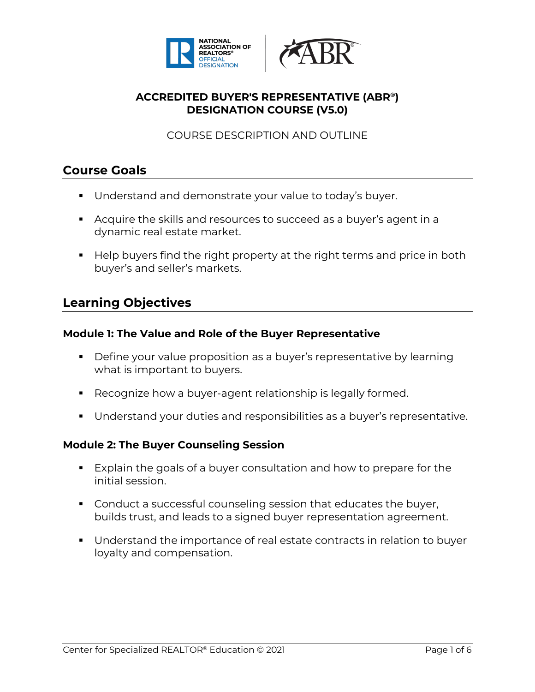



# **ACCREDITED BUYER'S REPRESENTATIVE (ABR®) DESIGNATION COURSE (V5.0)**

COURSE DESCRIPTION AND OUTLINE

# **Course Goals**

- Understand and demonstrate your value to today's buyer.
- § Acquire the skills and resources to succeed as a buyer's agent in a dynamic real estate market.
- Help buyers find the right property at the right terms and price in both buyer's and seller's markets.

# **Learning Objectives**

## **Module 1: The Value and Role of the Buyer Representative**

- Define your value proposition as a buyer's representative by learning what is important to buyers.
- Recognize how a buyer-agent relationship is legally formed.
- Understand your duties and responsibilities as a buyer's representative.

## **Module 2: The Buyer Counseling Session**

- § Explain the goals of a buyer consultation and how to prepare for the initial session.
- Conduct a successful counseling session that educates the buyer, builds trust, and leads to a signed buyer representation agreement.
- § Understand the importance of real estate contracts in relation to buyer loyalty and compensation.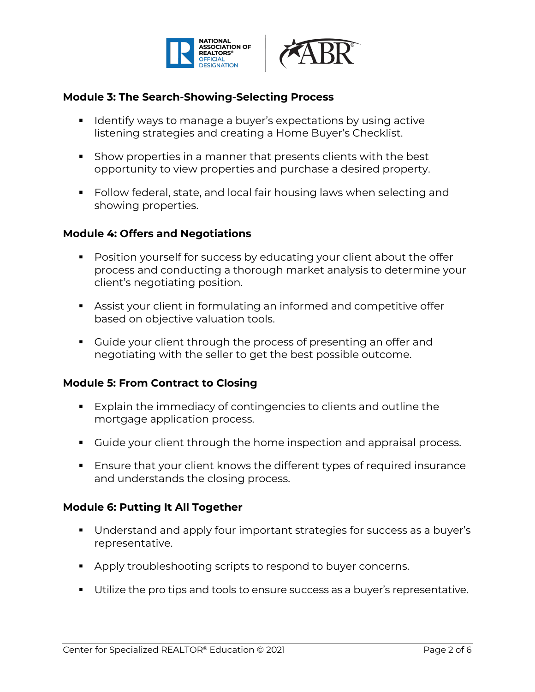



## **Module 3: The Search-Showing-Selecting Process**

- Identify ways to manage a buyer's expectations by using active listening strategies and creating a Home Buyer's Checklist.
- Show properties in a manner that presents clients with the best opportunity to view properties and purchase a desired property.
- Follow federal, state, and local fair housing laws when selecting and showing properties.

## **Module 4: Offers and Negotiations**

- Position yourself for success by educating your client about the offer process and conducting a thorough market analysis to determine your client's negotiating position.
- Assist your client in formulating an informed and competitive offer based on objective valuation tools.
- Guide your client through the process of presenting an offer and negotiating with the seller to get the best possible outcome.

## **Module 5: From Contract to Closing**

- Explain the immediacy of contingencies to clients and outline the mortgage application process.
- Guide your client through the home inspection and appraisal process.
- Ensure that your client knows the different types of required insurance and understands the closing process.

## **Module 6: Putting It All Together**

- § Understand and apply four important strategies for success as a buyer's representative.
- Apply troubleshooting scripts to respond to buyer concerns.
- § Utilize the pro tips and tools to ensure success as a buyer's representative.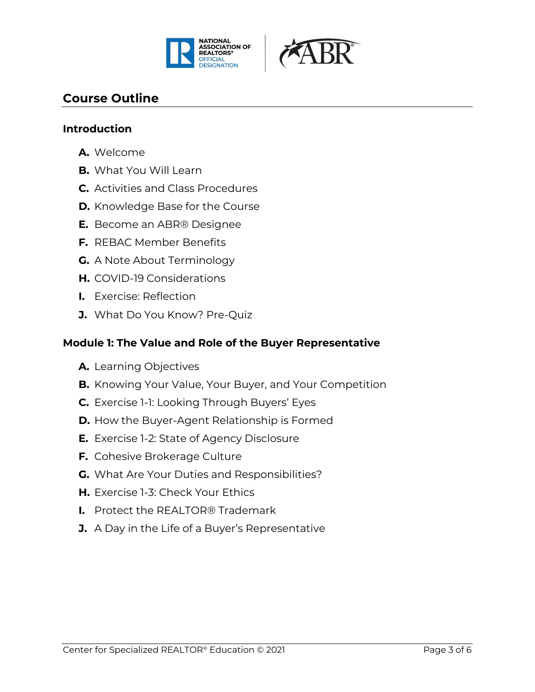



# **Course Outline**

#### **Introduction**

- **A.** Welcome
- **B.** What You Will Learn
- **C.** Activities and Class Procedures
- **D.** Knowledge Base for the Course
- **E.** Become an ABR® Designee
- **F.** REBAC Member Benefits
- **G.** A Note About Terminology
- **H.** COVID-19 Considerations
- **I.** Exercise: Reflection
- **J.** What Do You Know? Pre-Quiz

#### **Module 1: The Value and Role of the Buyer Representative**

- **A.** Learning Objectives
- **B.** Knowing Your Value, Your Buyer, and Your Competition
- **C.** Exercise 1-1: Looking Through Buyers' Eyes
- **D.** How the Buyer-Agent Relationship is Formed
- **E.** Exercise 1-2: State of Agency Disclosure
- **F.** Cohesive Brokerage Culture
- **G.** What Are Your Duties and Responsibilities?
- **H.** Exercise 1-3: Check Your Ethics
- **I.** Protect the REALTOR® Trademark
- **J.** A Day in the Life of a Buyer's Representative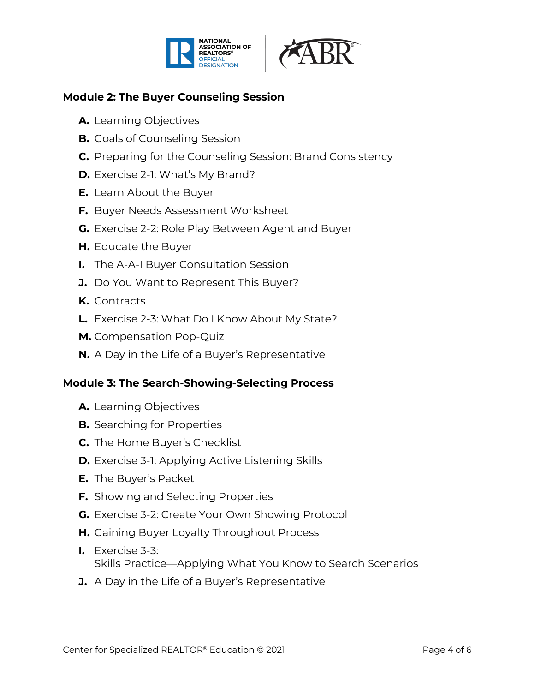



# **Module 2: The Buyer Counseling Session**

- **A.** Learning Objectives
- **B.** Goals of Counseling Session
- **C.** Preparing for the Counseling Session: Brand Consistency
- **D.** Exercise 2-1: What's My Brand?
- **E.** Learn About the Buyer
- **F.** Buyer Needs Assessment Worksheet
- **G.** Exercise 2-2: Role Play Between Agent and Buyer
- **H.** Educate the Buyer
- **I.** The A-A-I Buyer Consultation Session
- **J.** Do You Want to Represent This Buyer?
- **K.** Contracts
- **L.** Exercise 2-3: What Do I Know About My State?
- **M.** Compensation Pop-Quiz
- **N.** A Day in the Life of a Buyer's Representative

#### **Module 3: The Search-Showing-Selecting Process**

- **A.** Learning Objectives
- **B.** Searching for Properties
- **C.** The Home Buyer's Checklist
- **D.** Exercise 3-1: Applying Active Listening Skills
- **E.** The Buyer's Packet
- **F.** Showing and Selecting Properties
- **G.** Exercise 3-2: Create Your Own Showing Protocol
- **H.** Gaining Buyer Loyalty Throughout Process
- **I.** Exercise 3-3: Skills Practice—Applying What You Know to Search Scenarios
- **J.** A Day in the Life of a Buyer's Representative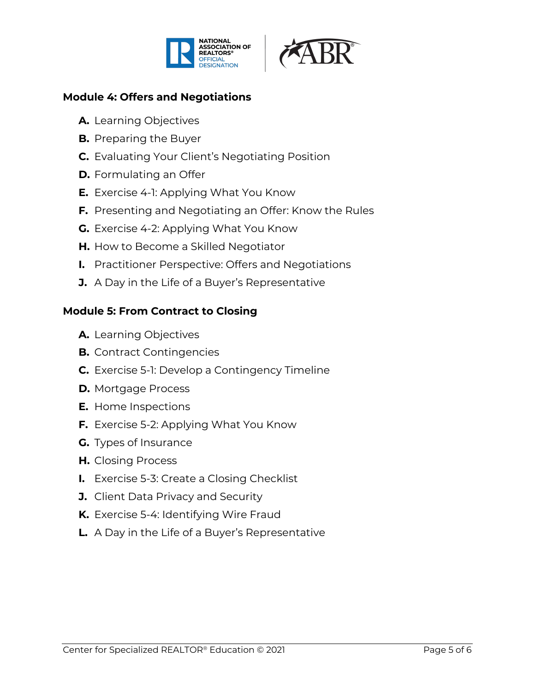



# **Module 4: Offers and Negotiations**

- **A.** Learning Objectives
- **B.** Preparing the Buyer
- **C.** Evaluating Your Client's Negotiating Position
- **D.** Formulating an Offer
- **E.** Exercise 4-1: Applying What You Know
- **F.** Presenting and Negotiating an Offer: Know the Rules
- **G.** Exercise 4-2: Applying What You Know
- **H.** How to Become a Skilled Negotiator
- **I.** Practitioner Perspective: Offers and Negotiations
- **J.** A Day in the Life of a Buyer's Representative

## **Module 5: From Contract to Closing**

- **A.** Learning Objectives
- **B.** Contract Contingencies
- **C.** Exercise 5-1: Develop a Contingency Timeline
- **D.** Mortgage Process
- **E.** Home Inspections
- **F.** Exercise 5-2: Applying What You Know
- **G.** Types of Insurance
- **H.** Closing Process
- **I.** Exercise 5-3: Create a Closing Checklist
- **J.** Client Data Privacy and Security
- **K.** Exercise 5-4: Identifying Wire Fraud
- **L.** A Day in the Life of a Buyer's Representative